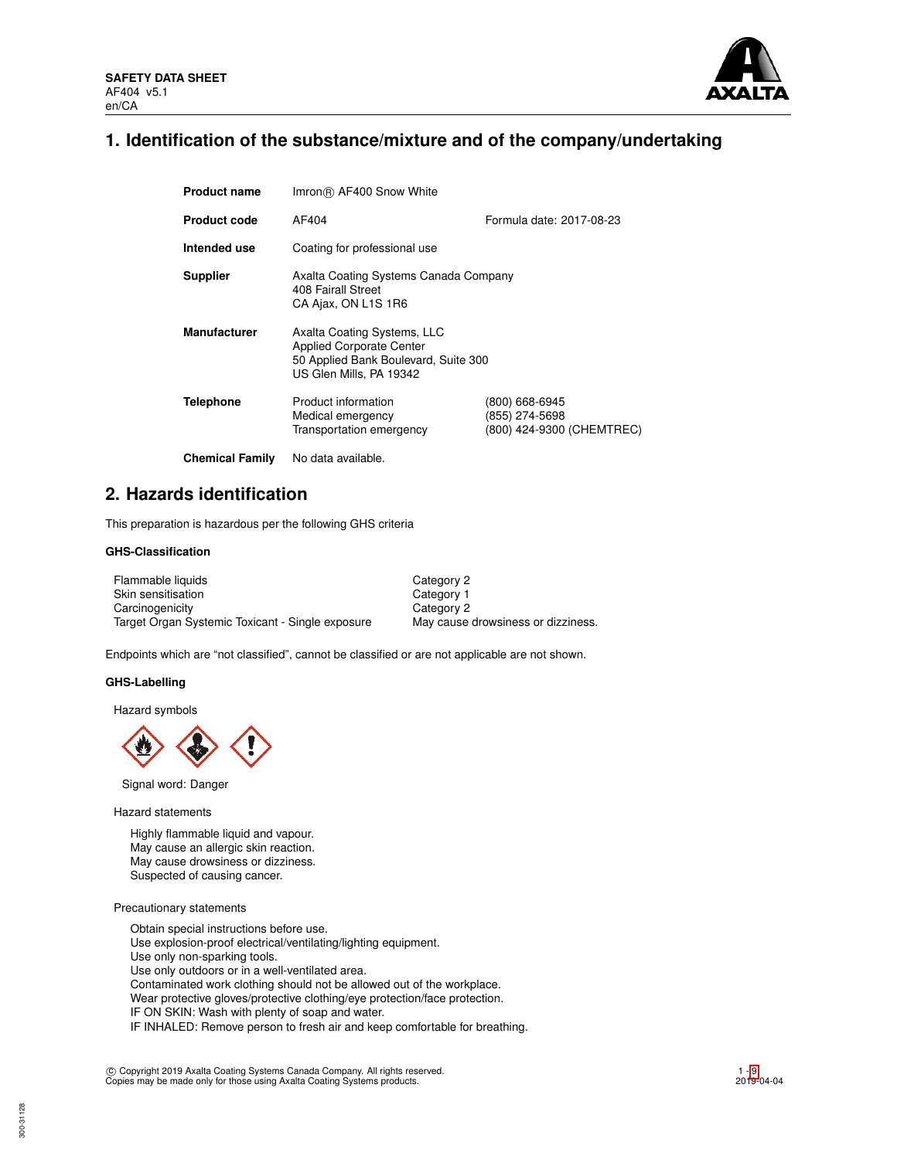

# **1. Identification of the substance/mixture and of the company/undertaking**

| <b>Product name</b>    | Imron® AF400 Snow White                                                                                                           |                                                               |  |  |  |
|------------------------|-----------------------------------------------------------------------------------------------------------------------------------|---------------------------------------------------------------|--|--|--|
| <b>Product code</b>    | Formula date: 2017-08-23<br>AF404                                                                                                 |                                                               |  |  |  |
| Intended use           | Coating for professional use                                                                                                      |                                                               |  |  |  |
| <b>Supplier</b>        | Axalta Coating Systems Canada Company<br>408 Fairall Street<br>CA Ajax, ON L1S 1R6                                                |                                                               |  |  |  |
| <b>Manufacturer</b>    | Axalta Coating Systems, LLC<br><b>Applied Corporate Center</b><br>50 Applied Bank Boulevard, Suite 300<br>US Glen Mills, PA 19342 |                                                               |  |  |  |
| <b>Telephone</b>       | Product information<br>Medical emergency<br>Transportation emergency                                                              | (800) 668-6945<br>(855) 274-5698<br>(800) 424-9300 (CHEMTREC) |  |  |  |
| <b>Chemical Family</b> | No data available.                                                                                                                |                                                               |  |  |  |

# **2. Hazards identification**

This preparation is hazardous per the following GHS criteria

## **GHS-Classification**

| Flammable liquids                                | Category 2                         |
|--------------------------------------------------|------------------------------------|
| Skin sensitisation                               | Category 1                         |
| Carcinogenicity                                  | Category 2                         |
| Target Organ Systemic Toxicant - Single exposure | May cause drowsiness or dizziness. |

Endpoints which are "not classified", cannot be classified or are not applicable are not shown.

### **GHS-Labelling**

Hazard symbols



Signal word: Danger

Hazard statements

Highly flammable liquid and vapour. May cause an allergic skin reaction. May cause drowsiness or dizziness. Suspected of causing cancer.

### Precautionary statements

Obtain special instructions before use. Use explosion-proof electrical/ventilating/lighting equipment. Use only non-sparking tools. Use only outdoors or in a well-ventilated area. Contaminated work clothing should not be allowed out of the workplace. Wear protective gloves/protective clothing/eye protection/face protection. IF ON SKIN: Wash with plenty of soap and water. IF INHALED: Remove person to fresh air and keep comfortable for breathing.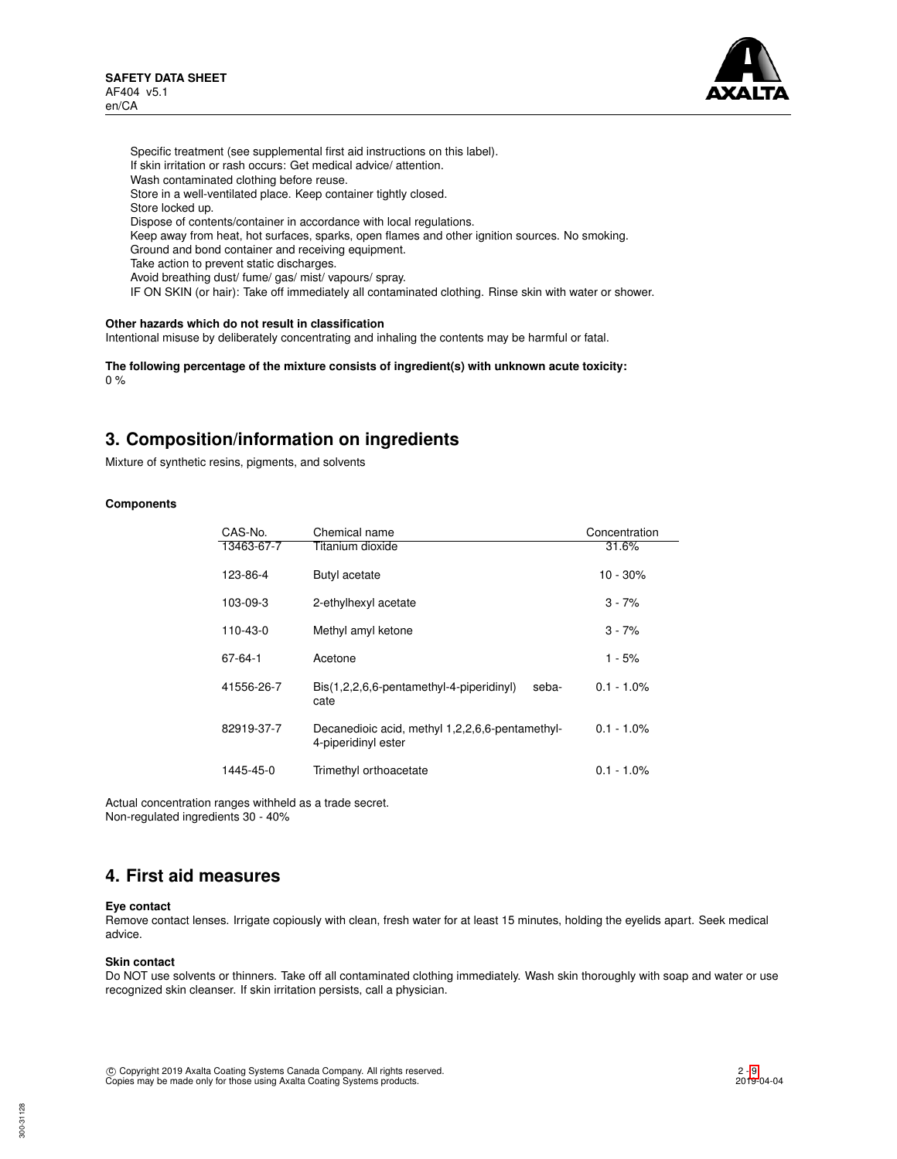

Specific treatment (see supplemental first aid instructions on this label). If skin irritation or rash occurs: Get medical advice/ attention. Wash contaminated clothing before reuse. Store in a well-ventilated place. Keep container tightly closed. Store locked up. Dispose of contents/container in accordance with local regulations. Keep away from heat, hot surfaces, sparks, open flames and other ignition sources. No smoking. Ground and bond container and receiving equipment. Take action to prevent static discharges. Avoid breathing dust/ fume/ gas/ mist/ vapours/ spray. IF ON SKIN (or hair): Take off immediately all contaminated clothing. Rinse skin with water or shower.

## **Other hazards which do not result in classification**

Intentional misuse by deliberately concentrating and inhaling the contents may be harmful or fatal.

**The following percentage of the mixture consists of ingredient(s) with unknown acute toxicity:** 0 %

# **3. Composition/information on ingredients**

Mixture of synthetic resins, pigments, and solvents

### **Components**

| CAS-No.    | Chemical name                                                          | Concentration |
|------------|------------------------------------------------------------------------|---------------|
| 13463-67-7 | Titanium dioxide                                                       | 31.6%         |
| 123-86-4   | Butyl acetate                                                          | 10 - 30%      |
| 103-09-3   | 2-ethylhexyl acetate                                                   | $3 - 7%$      |
| 110-43-0   | Methyl amyl ketone                                                     | $3 - 7%$      |
| 67-64-1    | Acetone                                                                | $1 - 5%$      |
| 41556-26-7 | Bis(1,2,2,6,6-pentamethyl-4-piperidinyl)<br>seba-<br>cate              | $0.1 - 1.0\%$ |
| 82919-37-7 | Decanedioic acid, methyl 1,2,2,6,6-pentamethyl-<br>4-piperidinyl ester | $0.1 - 1.0\%$ |
| 1445-45-0  | Trimethyl orthoacetate                                                 | $0.1 - 1.0\%$ |

Actual concentration ranges withheld as a trade secret. Non-regulated ingredients 30 - 40%

# **4. First aid measures**

### **Eye contact**

Remove contact lenses. Irrigate copiously with clean, fresh water for at least 15 minutes, holding the eyelids apart. Seek medical advice.

### **Skin contact**

Do NOT use solvents or thinners. Take off all contaminated clothing immediately. Wash skin thoroughly with soap and water or use recognized skin cleanser. If skin irritation persists, call a physician.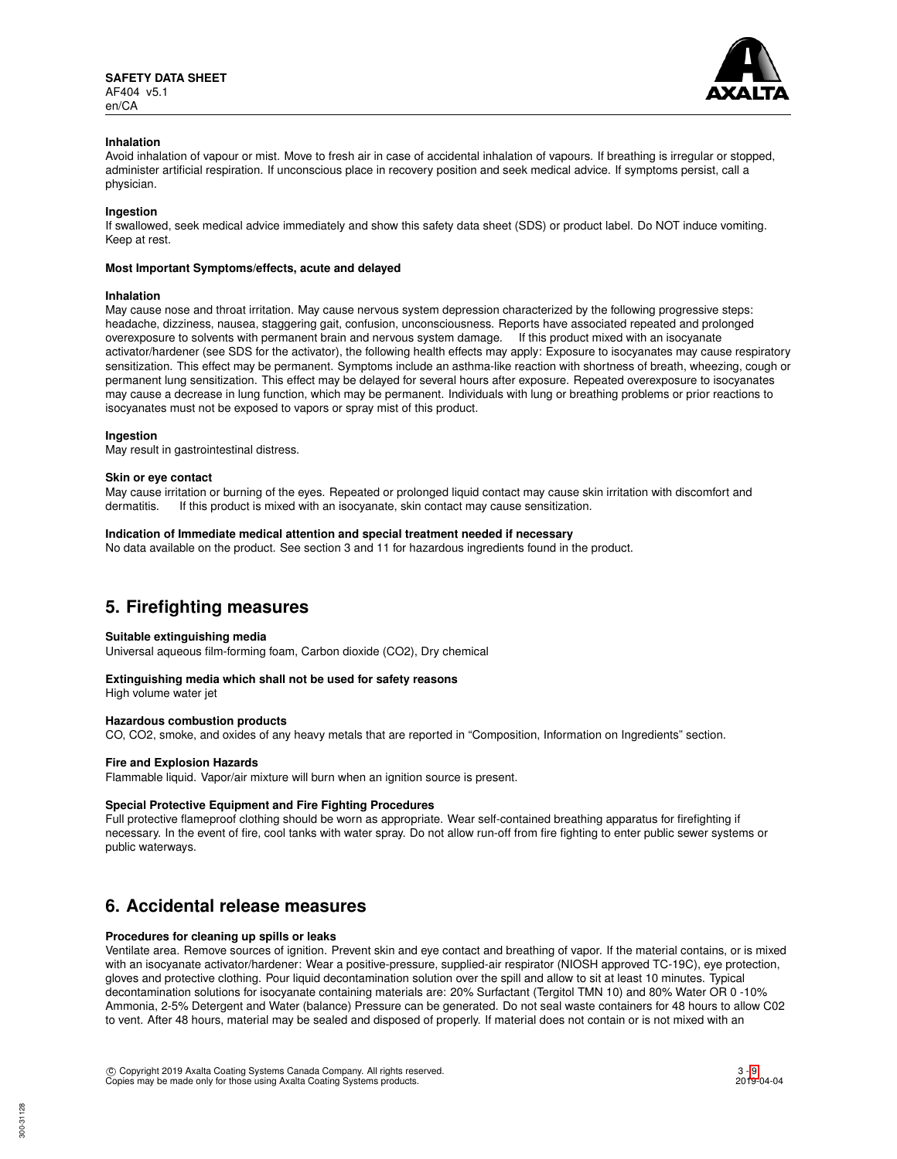

### **Inhalation**

Avoid inhalation of vapour or mist. Move to fresh air in case of accidental inhalation of vapours. If breathing is irregular or stopped, administer artificial respiration. If unconscious place in recovery position and seek medical advice. If symptoms persist, call a physician.

### **Ingestion**

If swallowed, seek medical advice immediately and show this safety data sheet (SDS) or product label. Do NOT induce vomiting. Keep at rest.

### **Most Important Symptoms/effects, acute and delayed**

### **Inhalation**

May cause nose and throat irritation. May cause nervous system depression characterized by the following progressive steps: headache, dizziness, nausea, staggering gait, confusion, unconsciousness. Reports have associated repeated and prolonged overexposure to solvents with permanent brain and nervous system damage. If this product mixed with an isocyanate activator/hardener (see SDS for the activator), the following health effects may apply: Exposure to isocyanates may cause respiratory sensitization. This effect may be permanent. Symptoms include an asthma-like reaction with shortness of breath, wheezing, cough or permanent lung sensitization. This effect may be delayed for several hours after exposure. Repeated overexposure to isocyanates may cause a decrease in lung function, which may be permanent. Individuals with lung or breathing problems or prior reactions to isocyanates must not be exposed to vapors or spray mist of this product.

### **Ingestion**

May result in gastrointestinal distress.

#### **Skin or eye contact**

May cause irritation or burning of the eyes. Repeated or prolonged liquid contact may cause skin irritation with discomfort and dermatitis. If this product is mixed with an isocyanate, skin contact may cause sensitization.

### **Indication of Immediate medical attention and special treatment needed if necessary**

No data available on the product. See section 3 and 11 for hazardous ingredients found in the product.

# **5. Firefighting measures**

### **Suitable extinguishing media**

Universal aqueous film-forming foam, Carbon dioxide (CO2), Dry chemical

### **Extinguishing media which shall not be used for safety reasons**

High volume water jet

## **Hazardous combustion products**

CO, CO2, smoke, and oxides of any heavy metals that are reported in "Composition, Information on Ingredients" section.

### **Fire and Explosion Hazards**

Flammable liquid. Vapor/air mixture will burn when an ignition source is present.

### **Special Protective Equipment and Fire Fighting Procedures**

Full protective flameproof clothing should be worn as appropriate. Wear self-contained breathing apparatus for firefighting if necessary. In the event of fire, cool tanks with water spray. Do not allow run-off from fire fighting to enter public sewer systems or public waterways.

## **6. Accidental release measures**

### **Procedures for cleaning up spills or leaks**

Ventilate area. Remove sources of ignition. Prevent skin and eye contact and breathing of vapor. If the material contains, or is mixed with an isocyanate activator/hardener: Wear a positive-pressure, supplied-air respirator (NIOSH approved TC-19C), eye protection, gloves and protective clothing. Pour liquid decontamination solution over the spill and allow to sit at least 10 minutes. Typical decontamination solutions for isocyanate containing materials are: 20% Surfactant (Tergitol TMN 10) and 80% Water OR 0 -10% Ammonia, 2-5% Detergent and Water (balance) Pressure can be generated. Do not seal waste containers for 48 hours to allow C02 to vent. After 48 hours, material may be sealed and disposed of properly. If material does not contain or is not mixed with an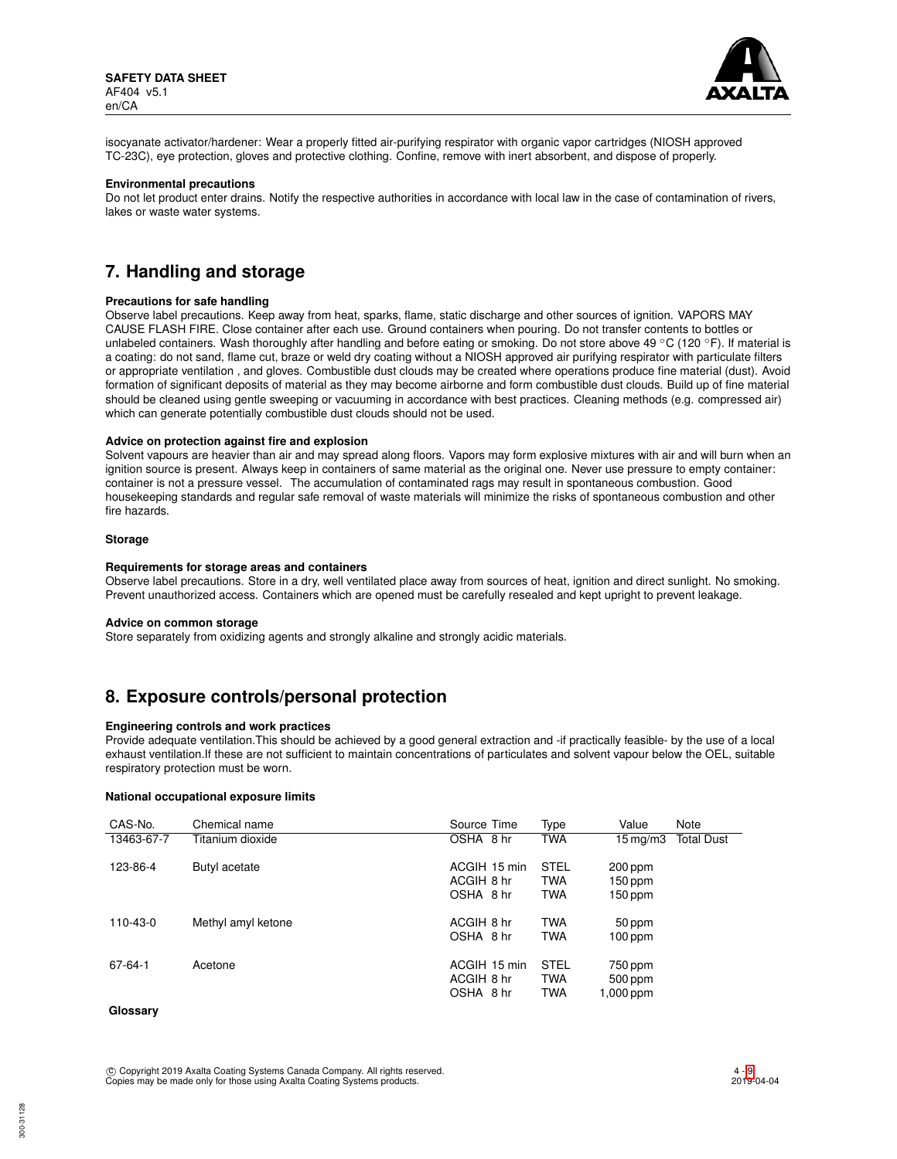

isocyanate activator/hardener: Wear a properly fitted air-purifying respirator with organic vapor cartridges (NIOSH approved TC-23C), eye protection, gloves and protective clothing. Confine, remove with inert absorbent, and dispose of properly.

### **Environmental precautions**

Do not let product enter drains. Notify the respective authorities in accordance with local law in the case of contamination of rivers, lakes or waste water systems.

# **7. Handling and storage**

#### **Precautions for safe handling**

Observe label precautions. Keep away from heat, sparks, flame, static discharge and other sources of ignition. VAPORS MAY CAUSE FLASH FIRE. Close container after each use. Ground containers when pouring. Do not transfer contents to bottles or unlabeled containers. Wash thoroughly after handling and before eating or smoking. Do not store above 49 °C (120 °F). If material is a coating: do not sand, flame cut, braze or weld dry coating without a NIOSH approved air purifying respirator with particulate filters or appropriate ventilation , and gloves. Combustible dust clouds may be created where operations produce fine material (dust). Avoid formation of significant deposits of material as they may become airborne and form combustible dust clouds. Build up of fine material should be cleaned using gentle sweeping or vacuuming in accordance with best practices. Cleaning methods (e.g. compressed air) which can generate potentially combustible dust clouds should not be used.

### **Advice on protection against fire and explosion**

Solvent vapours are heavier than air and may spread along floors. Vapors may form explosive mixtures with air and will burn when an ignition source is present. Always keep in containers of same material as the original one. Never use pressure to empty container: container is not a pressure vessel. The accumulation of contaminated rags may result in spontaneous combustion. Good housekeeping standards and regular safe removal of waste materials will minimize the risks of spontaneous combustion and other fire hazards.

### **Storage**

#### **Requirements for storage areas and containers**

Observe label precautions. Store in a dry, well ventilated place away from sources of heat, ignition and direct sunlight. No smoking. Prevent unauthorized access. Containers which are opened must be carefully resealed and kept upright to prevent leakage.

#### **Advice on common storage**

Store separately from oxidizing agents and strongly alkaline and strongly acidic materials.

# **8. Exposure controls/personal protection**

### **Engineering controls and work practices**

Provide adequate ventilation.This should be achieved by a good general extraction and -if practically feasible- by the use of a local exhaust ventilation.If these are not sufficient to maintain concentrations of particulates and solvent vapour below the OEL, suitable respiratory protection must be worn.

### **National occupational exposure limits**

| CAS-No.    | Chemical name      | Source Time                             | Type                                    | Value                             | Note              |
|------------|--------------------|-----------------------------------------|-----------------------------------------|-----------------------------------|-------------------|
| 13463-67-7 | Titanium dioxide   | OSHA 8 hr                               | <b>TWA</b>                              | 15 mg/m3                          | <b>Total Dust</b> |
| 123-86-4   | Butyl acetate      | ACGIH 15 min<br>ACGIH 8 hr<br>OSHA 8 hr | <b>STEL</b><br><b>TWA</b><br><b>TWA</b> | 200 ppm<br>$150$ ppm<br>150 ppm   |                   |
| 110-43-0   | Methyl amyl ketone | ACGIH 8 hr<br>OSHA 8 hr                 | <b>TWA</b><br><b>TWA</b>                | 50 ppm<br>$100$ ppm               |                   |
| 67-64-1    | Acetone            | ACGIH 15 min<br>ACGIH 8 hr<br>OSHA 8 hr | <b>STEL</b><br><b>TWA</b><br><b>TWA</b> | 750 ppm<br>500 ppm<br>$1,000$ ppm |                   |
| Glossarv   |                    |                                         |                                         |                                   |                   |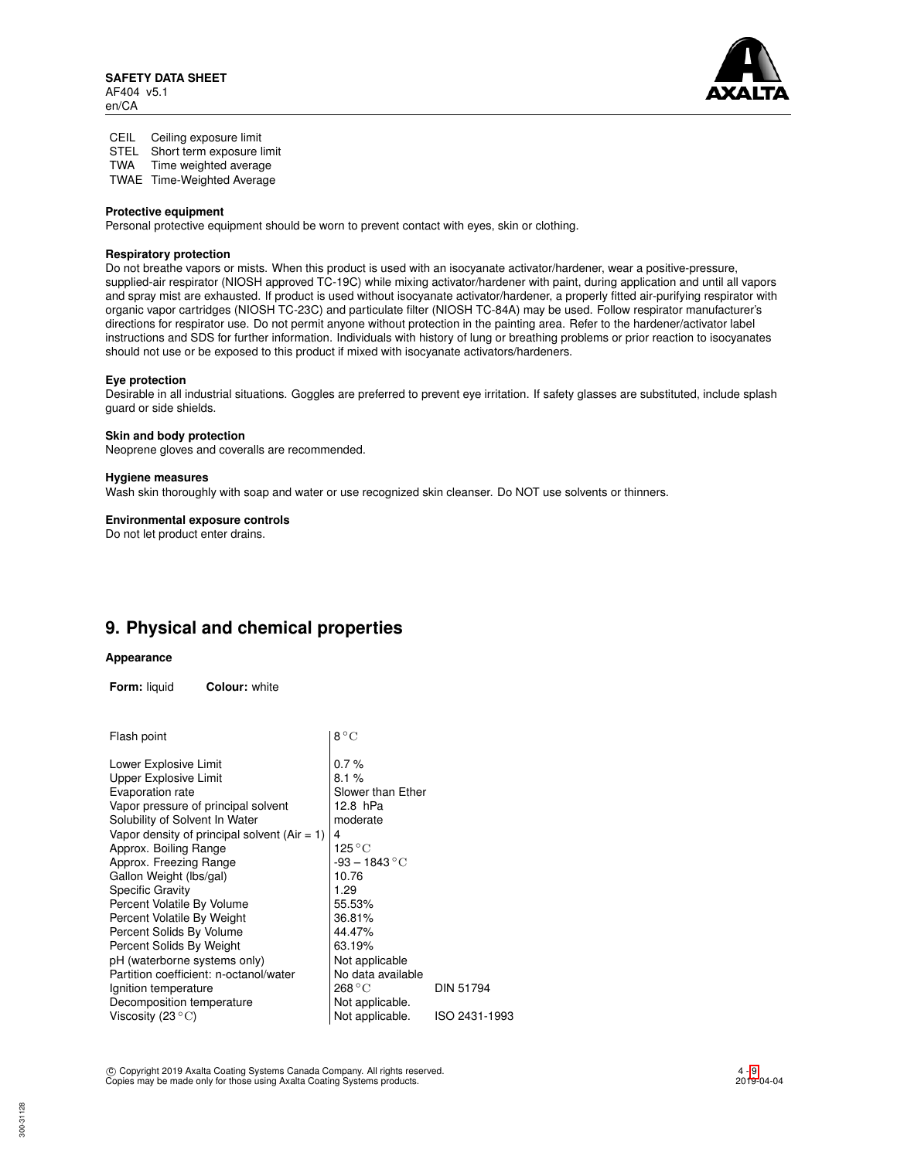

CEIL Ceiling exposure limit STEL Short term exposure limit TWA Time weighted average

TWAE Time-Weighted Average

### **Protective equipment**

Personal protective equipment should be worn to prevent contact with eyes, skin or clothing.

## **Respiratory protection**

Do not breathe vapors or mists. When this product is used with an isocyanate activator/hardener, wear a positive-pressure, supplied-air respirator (NIOSH approved TC-19C) while mixing activator/hardener with paint, during application and until all vapors and spray mist are exhausted. If product is used without isocyanate activator/hardener, a properly fitted air-purifying respirator with organic vapor cartridges (NIOSH TC-23C) and particulate filter (NIOSH TC-84A) may be used. Follow respirator manufacturer's directions for respirator use. Do not permit anyone without protection in the painting area. Refer to the hardener/activator label instructions and SDS for further information. Individuals with history of lung or breathing problems or prior reaction to isocyanates should not use or be exposed to this product if mixed with isocyanate activators/hardeners.

## **Eye protection**

Desirable in all industrial situations. Goggles are preferred to prevent eye irritation. If safety glasses are substituted, include splash guard or side shields.

### **Skin and body protection**

Neoprene gloves and coveralls are recommended.

### **Hygiene measures**

Wash skin thoroughly with soap and water or use recognized skin cleanser. Do NOT use solvents or thinners.

## **Environmental exposure controls**

Do not let product enter drains.

# **9. Physical and chemical properties**

### **Appearance**

**Form:** liquid **Colour:** white

| Flash point                                    | $8^{\circ}$ C     |               |
|------------------------------------------------|-------------------|---------------|
| Lower Explosive Limit                          | 0.7%              |               |
| <b>Upper Explosive Limit</b>                   | 8.1%              |               |
| Evaporation rate                               | Slower than Ether |               |
| Vapor pressure of principal solvent            | 12.8 hPa          |               |
| Solubility of Solvent In Water                 | moderate          |               |
| Vapor density of principal solvent $(Air = 1)$ | 4                 |               |
| Approx. Boiling Range                          | 125 ° C           |               |
| Approx. Freezing Range                         | $-93 - 1843$ °C   |               |
| Gallon Weight (lbs/gal)                        | 10.76             |               |
| <b>Specific Gravity</b>                        | 1.29              |               |
| Percent Volatile By Volume                     | 55.53%            |               |
| Percent Volatile By Weight                     | 36.81%            |               |
| Percent Solids By Volume                       | 44.47%            |               |
| Percent Solids By Weight                       | 63.19%            |               |
| pH (waterborne systems only)                   | Not applicable    |               |
| Partition coefficient: n-octanol/water         | No data available |               |
| Ignition temperature                           | 268 °C            | DIN 51794     |
| Decomposition temperature                      | Not applicable.   |               |
| Viscosity (23 $^{\circ}$ C)                    | Not applicable.   | ISO 2431-1993 |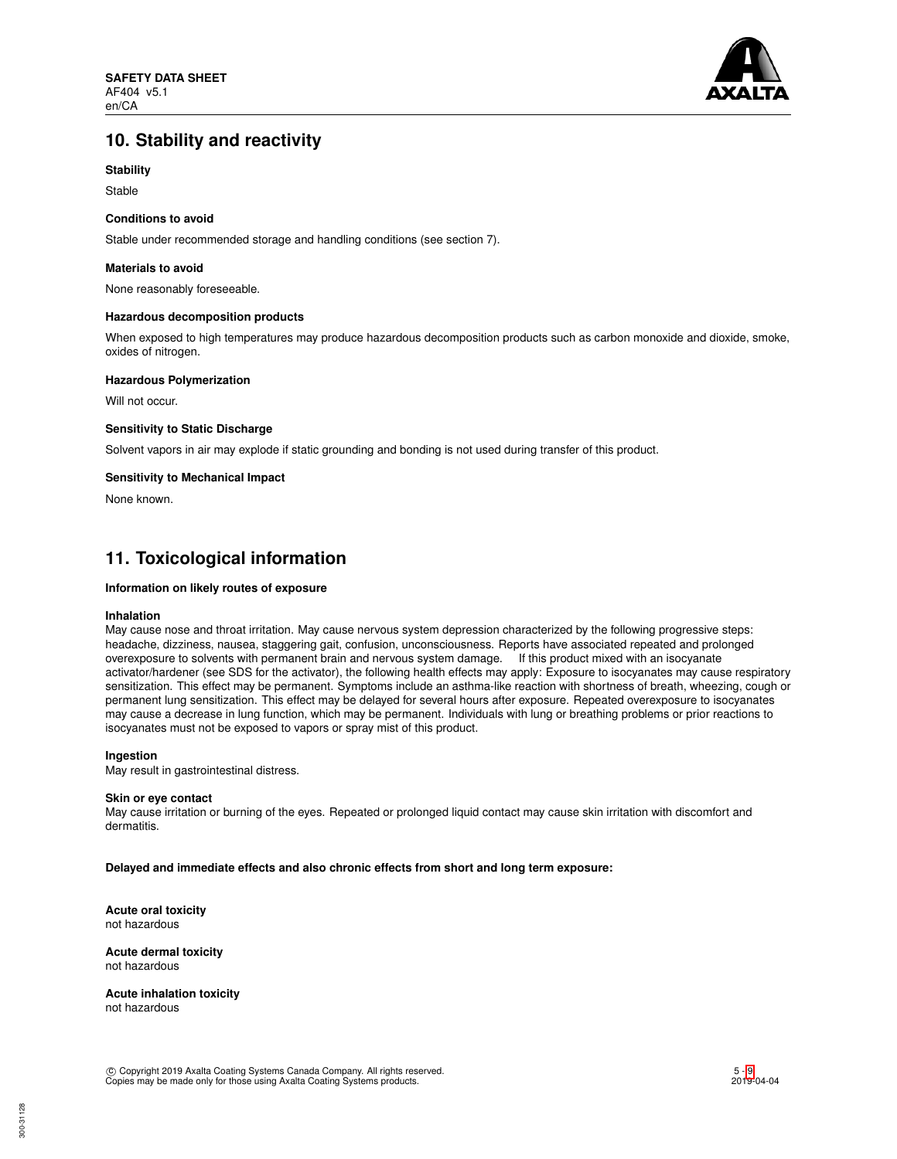

# **10. Stability and reactivity**

## **Stability**

Stable

### **Conditions to avoid**

Stable under recommended storage and handling conditions (see section 7).

### **Materials to avoid**

None reasonably foreseeable.

### **Hazardous decomposition products**

When exposed to high temperatures may produce hazardous decomposition products such as carbon monoxide and dioxide, smoke, oxides of nitrogen.

### **Hazardous Polymerization**

Will not occur.

### **Sensitivity to Static Discharge**

Solvent vapors in air may explode if static grounding and bonding is not used during transfer of this product.

### **Sensitivity to Mechanical Impact**

None known.

# **11. Toxicological information**

## **Information on likely routes of exposure**

### **Inhalation**

May cause nose and throat irritation. May cause nervous system depression characterized by the following progressive steps: headache, dizziness, nausea, staggering gait, confusion, unconsciousness. Reports have associated repeated and prolonged overexposure to solvents with permanent brain and nervous system damage. If this product mixed with an isocyanate activator/hardener (see SDS for the activator), the following health effects may apply: Exposure to isocyanates may cause respiratory sensitization. This effect may be permanent. Symptoms include an asthma-like reaction with shortness of breath, wheezing, cough or permanent lung sensitization. This effect may be delayed for several hours after exposure. Repeated overexposure to isocyanates may cause a decrease in lung function, which may be permanent. Individuals with lung or breathing problems or prior reactions to isocyanates must not be exposed to vapors or spray mist of this product.

### **Ingestion**

May result in gastrointestinal distress.

### **Skin or eye contact**

May cause irritation or burning of the eyes. Repeated or prolonged liquid contact may cause skin irritation with discomfort and dermatitis.

**Delayed and immediate effects and also chronic effects from short and long term exposure:**

**Acute oral toxicity** not hazardous

**Acute dermal toxicity** not hazardous

**Acute inhalation toxicity** not hazardous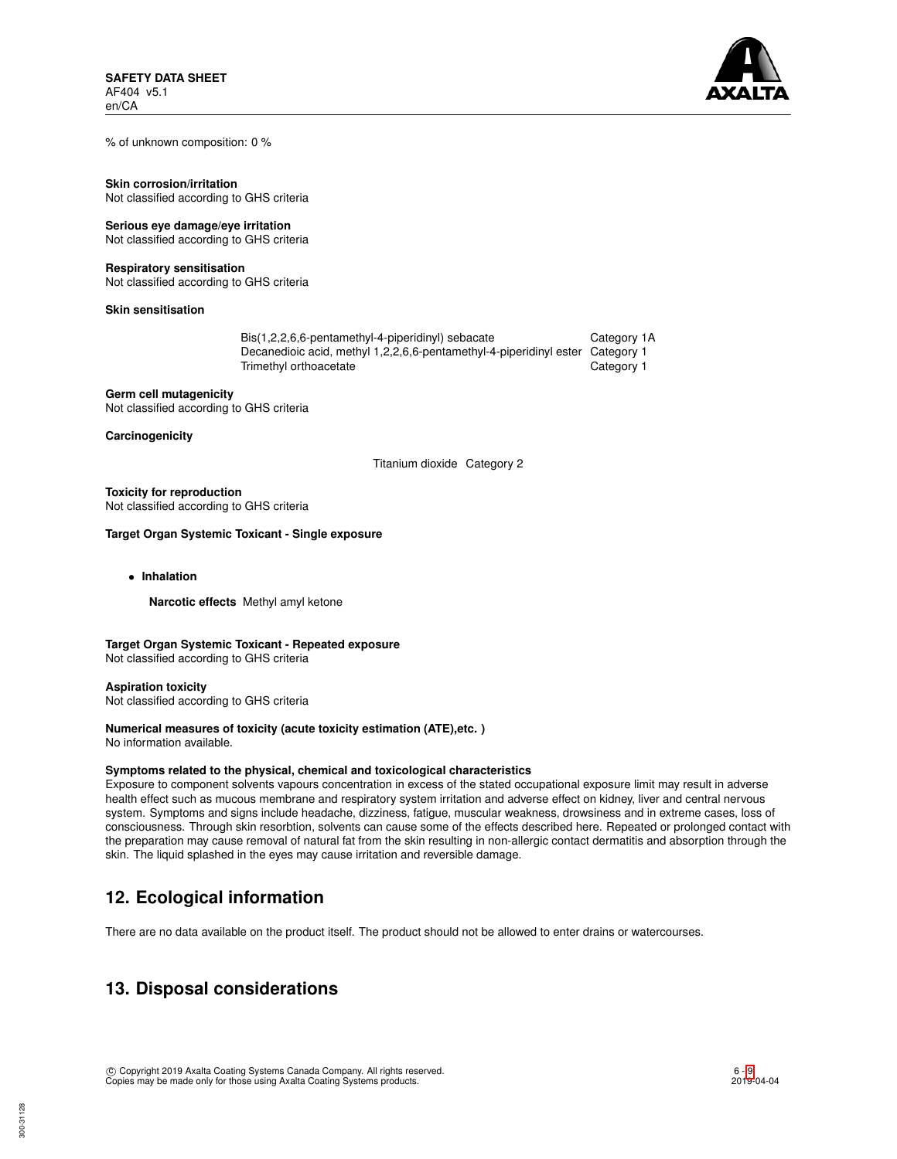

% of unknown composition: 0 %

**Skin corrosion/irritation** Not classified according to GHS criteria

## **Serious eye damage/eye irritation**

Not classified according to GHS criteria

### **Respiratory sensitisation**

Not classified according to GHS criteria

**Skin sensitisation**

| Bis(1,2,2,6,6-pentamethyl-4-piperidinyl) sebacate                             | Category 1A |
|-------------------------------------------------------------------------------|-------------|
| Decanedioic acid, methyl 1,2,2,6,6-pentamethyl-4-piperidinyl ester Category 1 |             |
| Trimethyl orthoacetate                                                        | Category 1  |

**Germ cell mutagenicity** Not classified according to GHS criteria

**Carcinogenicity**

Titanium dioxide Category 2

## **Toxicity for reproduction**

Not classified according to GHS criteria

## **Target Organ Systemic Toxicant - Single exposure**

• **Inhalation**

**Narcotic effects** Methyl amyl ketone

## **Target Organ Systemic Toxicant - Repeated exposure**

Not classified according to GHS criteria

**Aspiration toxicity** Not classified according to GHS criteria

# **Numerical measures of toxicity (acute toxicity estimation (ATE),etc. )**

No information available.

## **Symptoms related to the physical, chemical and toxicological characteristics**

Exposure to component solvents vapours concentration in excess of the stated occupational exposure limit may result in adverse health effect such as mucous membrane and respiratory system irritation and adverse effect on kidney, liver and central nervous system. Symptoms and signs include headache, dizziness, fatigue, muscular weakness, drowsiness and in extreme cases, loss of consciousness. Through skin resorbtion, solvents can cause some of the effects described here. Repeated or prolonged contact with the preparation may cause removal of natural fat from the skin resulting in non-allergic contact dermatitis and absorption through the skin. The liquid splashed in the eyes may cause irritation and reversible damage.

# **12. Ecological information**

There are no data available on the product itself. The product should not be allowed to enter drains or watercourses.

# **13. Disposal considerations**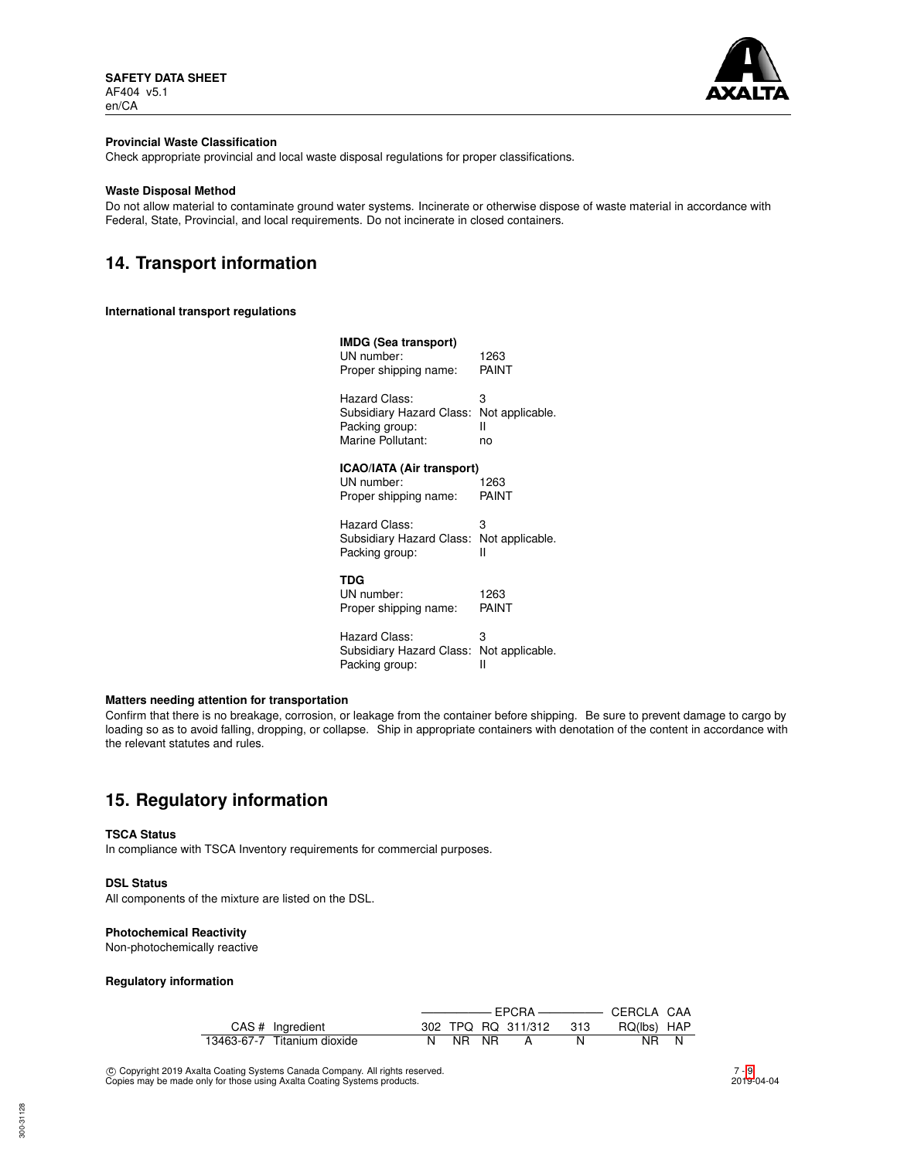

### **Provincial Waste Classification**

Check appropriate provincial and local waste disposal regulations for proper classifications.

### **Waste Disposal Method**

Do not allow material to contaminate ground water systems. Incinerate or otherwise dispose of waste material in accordance with Federal, State, Provincial, and local requirements. Do not incinerate in closed containers.

# **14. Transport information**

## **International transport regulations**

| IMDG (Sea transport)<br>UN number:<br>Proper shipping name:                      | 1263<br>PAINT                   |
|----------------------------------------------------------------------------------|---------------------------------|
| Hazard Class:<br>Subsidiary Hazard Class:<br>Packing group:<br>Marine Pollutant: | 3<br>Not applicable.<br>н<br>no |
| ICAO/IATA (Air transport)<br>UN number:                                          | 1263                            |
| Proper shipping name:                                                            | PAINT                           |
| Hazard Class:<br>Subsidiary Hazard Class:<br>Packing group:                      | 3<br>Not applicable.<br>н       |
| TDG<br>UN number:<br>Proper shipping name:                                       | 1263<br>PAINT                   |
| Hazard Class:<br>Subsidiary Hazard Class:<br>Packing group:                      | 3<br>Not applicable.<br>н       |

## **Matters needing attention for transportation**

Confirm that there is no breakage, corrosion, or leakage from the container before shipping. Be sure to prevent damage to cargo by loading so as to avoid falling, dropping, or collapse. Ship in appropriate containers with denotation of the content in accordance with the relevant statutes and rules.

# **15. Regulatory information**

### **TSCA Status**

In compliance with TSCA Inventory requirements for commercial purposes.

### **DSL Status**

All components of the mixture are listed on the DSL.

### **Photochemical Reactivity**

Non-photochemically reactive

### **Regulatory information**

| CAS # Ingredient            |  |         |  | 302 TPQ RQ 311/312 313 |  | RQ(lbs) HAP |  |
|-----------------------------|--|---------|--|------------------------|--|-------------|--|
| 13463-67-7 Titanium dioxide |  | N NR NR |  |                        |  | NR N        |  |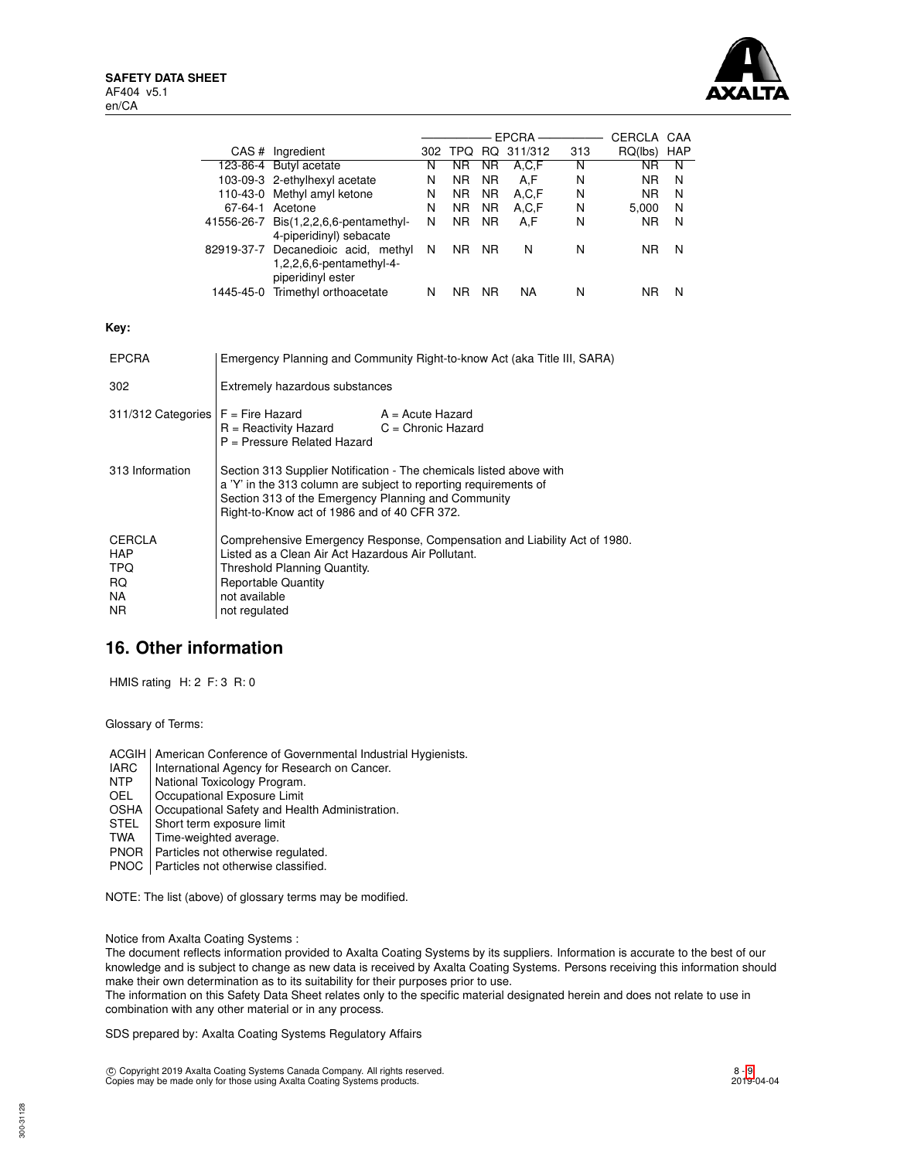

|                                                                                                                                                 |                                                                                                                                                                                                                                                |                                                                                      |   |                |                | EPCRA ————         |     | CERCLA CAA     |   |
|-------------------------------------------------------------------------------------------------------------------------------------------------|------------------------------------------------------------------------------------------------------------------------------------------------------------------------------------------------------------------------------------------------|--------------------------------------------------------------------------------------|---|----------------|----------------|--------------------|-----|----------------|---|
|                                                                                                                                                 |                                                                                                                                                                                                                                                | CAS # Ingredient                                                                     |   |                |                | 302 TPQ RQ 311/312 | 313 | RQ(lbs) HAP    |   |
|                                                                                                                                                 |                                                                                                                                                                                                                                                | 123-86-4 Butyl acetate                                                               | N | NR.            | NR.            | A, C, F            | N   | <b>NR</b>      | N |
|                                                                                                                                                 |                                                                                                                                                                                                                                                | 103-09-3 2-ethylhexyl acetate                                                        | N | N <sub>R</sub> | N <sub>R</sub> | A,F                | N   | N <sub>R</sub> | N |
|                                                                                                                                                 |                                                                                                                                                                                                                                                | 110-43-0 Methyl amyl ketone                                                          | N | NR.            | NR.            | A.C.F              | N   | N <sub>R</sub> | N |
|                                                                                                                                                 |                                                                                                                                                                                                                                                | 67-64-1 Acetone                                                                      | N | N <sub>R</sub> | N <sub>R</sub> | A, C, F            | N   | 5,000          | N |
|                                                                                                                                                 |                                                                                                                                                                                                                                                | 41556-26-7 Bis(1,2,2,6,6-pentamethyl-<br>4-piperidinyl) sebacate                     | N | NR.            | NR.            | A,F                | N   | NR.            | N |
|                                                                                                                                                 |                                                                                                                                                                                                                                                | 82919-37-7 Decanedioic acid, methyl<br>1,2,2,6,6-pentamethyl-4-<br>piperidinyl ester | N | NR NR          |                | N                  | N   | <b>NR</b>      | N |
|                                                                                                                                                 |                                                                                                                                                                                                                                                | 1445-45-0 Trimethyl orthoacetate                                                     | N | NR NR          |                | <b>NA</b>          | N   | <b>NR</b>      | N |
| Key:                                                                                                                                            |                                                                                                                                                                                                                                                |                                                                                      |   |                |                |                    |     |                |   |
| <b>EPCRA</b>                                                                                                                                    |                                                                                                                                                                                                                                                | Emergency Planning and Community Right-to-know Act (aka Title III, SARA)             |   |                |                |                    |     |                |   |
| 302                                                                                                                                             | Extremely hazardous substances                                                                                                                                                                                                                 |                                                                                      |   |                |                |                    |     |                |   |
| 311/312 Categories<br>$F =$ Fire Hazard<br>$A = Acute$ Hazard<br>$R =$ Reactivity Hazard<br>$C =$ Chronic Hazard<br>P = Pressure Related Hazard |                                                                                                                                                                                                                                                |                                                                                      |   |                |                |                    |     |                |   |
| 313 Information                                                                                                                                 | Section 313 Supplier Notification - The chemicals listed above with<br>a 'Y' in the 313 column are subject to reporting requirements of<br>Section 313 of the Emergency Planning and Community<br>Right-to-Know act of 1986 and of 40 CFR 372. |                                                                                      |   |                |                |                    |     |                |   |
| <b>CERCLA</b><br><b>HAP</b><br><b>TPQ</b><br><b>RQ</b><br><b>NA</b><br><b>NR</b>                                                                | Comprehensive Emergency Response, Compensation and Liability Act of 1980.<br>Listed as a Clean Air Act Hazardous Air Pollutant.<br>Threshold Planning Quantity.<br><b>Reportable Quantity</b><br>not available<br>not regulated                |                                                                                      |   |                |                |                    |     |                |   |

# **16. Other information**

HMIS rating H: 2 F: 3 R: 0

Glossary of Terms:

ACGIH | American Conference of Governmental Industrial Hygienists.

- IARC | International Agency for Research on Cancer.<br>
NTP | National Toxicology Program.
- NTP National Toxicology Program.<br>OEL Cocupational Exposure Limit
- Occupational Exposure Limit
- OSHA | Occupational Safety and Health Administration.<br>STEL | Short term exposure limit
- STEL Short term exposure limit<br>TWA Time-weighted average.
- Time-weighted average.
- PNOR | Particles not otherwise regulated.
- PNOC | Particles not otherwise classified.

NOTE: The list (above) of glossary terms may be modified.

Notice from Axalta Coating Systems :

The document reflects information provided to Axalta Coating Systems by its suppliers. Information is accurate to the best of our knowledge and is subject to change as new data is received by Axalta Coating Systems. Persons receiving this information should make their own determination as to its suitability for their purposes prior to use.

The information on this Safety Data Sheet relates only to the specific material designated herein and does not relate to use in combination with any other material or in any process.

SDS prepared by: Axalta Coating Systems Regulatory Affairs